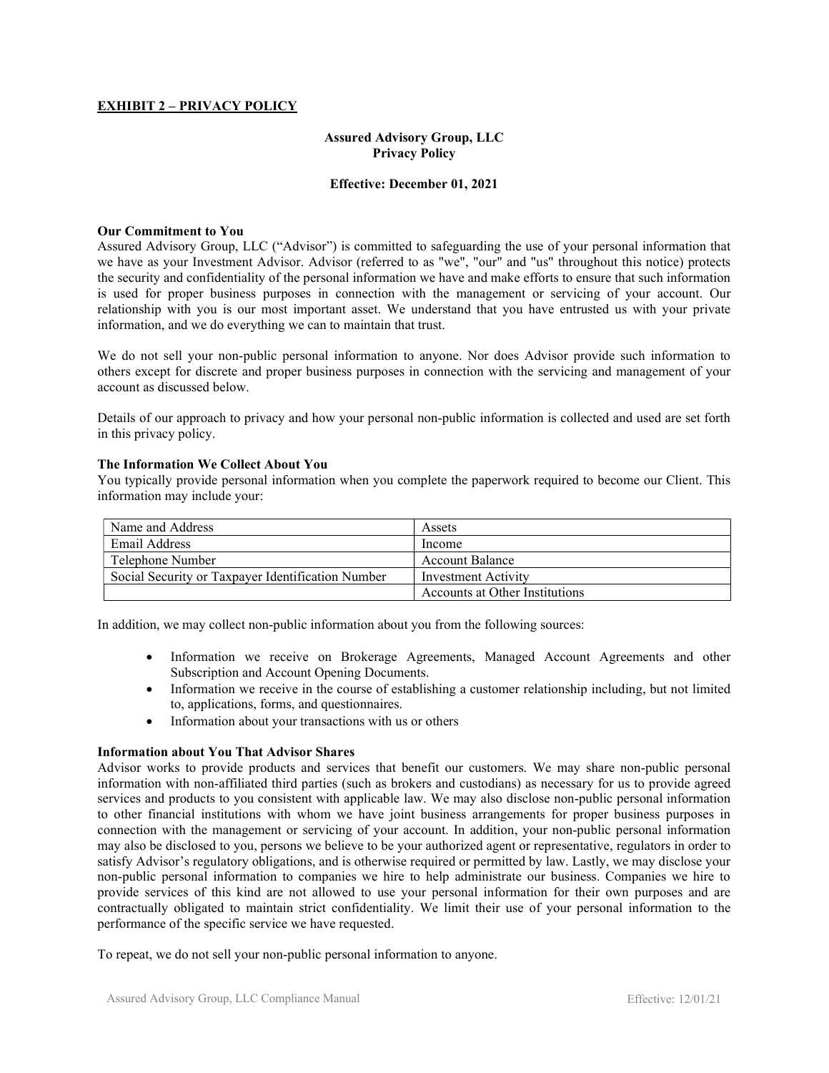# EXHIBIT 2 – PRIVACY POLICY

## Assured Advisory Group, LLC Privacy Policy

## Effective: December 01, 2021

## Our Commitment to You

Assured Advisory Group, LLC ("Advisor") is committed to safeguarding the use of your personal information that we have as your Investment Advisor. Advisor (referred to as "we", "our" and "us" throughout this notice) protects the security and confidentiality of the personal information we have and make efforts to ensure that such information is used for proper business purposes in connection with the management or servicing of your account. Our relationship with you is our most important asset. We understand that you have entrusted us with your private information, and we do everything we can to maintain that trust.

We do not sell your non-public personal information to anyone. Nor does Advisor provide such information to others except for discrete and proper business purposes in connection with the servicing and management of your account as discussed below.

Details of our approach to privacy and how your personal non-public information is collected and used are set forth in this privacy policy.

#### The Information We Collect About You

You typically provide personal information when you complete the paperwork required to become our Client. This information may include your:

| Name and Address                                  | Assets                         |
|---------------------------------------------------|--------------------------------|
| Email Address                                     | Income                         |
| Telephone Number                                  | Account Balance                |
| Social Security or Taxpayer Identification Number | Investment Activity            |
|                                                   | Accounts at Other Institutions |

In addition, we may collect non-public information about you from the following sources:

- Information we receive on Brokerage Agreements, Managed Account Agreements and other Subscription and Account Opening Documents.
- Information we receive in the course of establishing a customer relationship including, but not limited to, applications, forms, and questionnaires.
- Information about your transactions with us or others

## Information about You That Advisor Shares

Advisor works to provide products and services that benefit our customers. We may share non-public personal information with non-affiliated third parties (such as brokers and custodians) as necessary for us to provide agreed services and products to you consistent with applicable law. We may also disclose non-public personal information to other financial institutions with whom we have joint business arrangements for proper business purposes in connection with the management or servicing of your account. In addition, your non-public personal information may also be disclosed to you, persons we believe to be your authorized agent or representative, regulators in order to satisfy Advisor's regulatory obligations, and is otherwise required or permitted by law. Lastly, we may disclose your non-public personal information to companies we hire to help administrate our business. Companies we hire to provide services of this kind are not allowed to use your personal information for their own purposes and are contractually obligated to maintain strict confidentiality. We limit their use of your personal information to the performance of the specific service we have requested.

To repeat, we do not sell your non-public personal information to anyone.